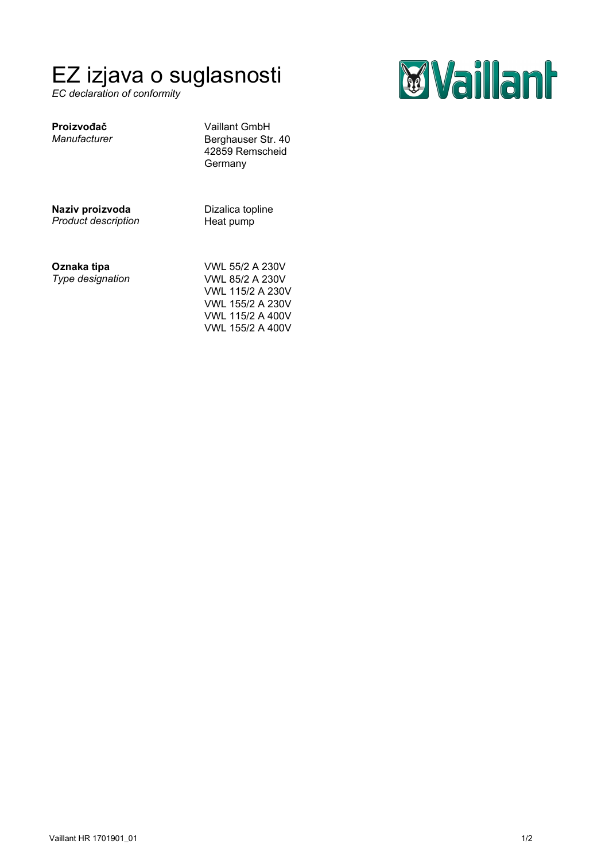## EZ izjava o suglasnosti

*EC declaration of conformity*



| Manufacturer               | Berghauser Str. 40<br>42859 Remscheid<br>Germany |
|----------------------------|--------------------------------------------------|
| Naziv proizvoda            | Dizalica topline                                 |
| <b>Product description</b> | Heat pump                                        |

Vaillant GmbH

**Oznaka tipa** *Type designation*

**Proizvođač**

VWL 55/2 A 230V VWL 85/2 A 230V VWL 115/2 A 230V VWL 155/2 A 230V VWL 115/2 A 400V VWL 155/2 A 400V